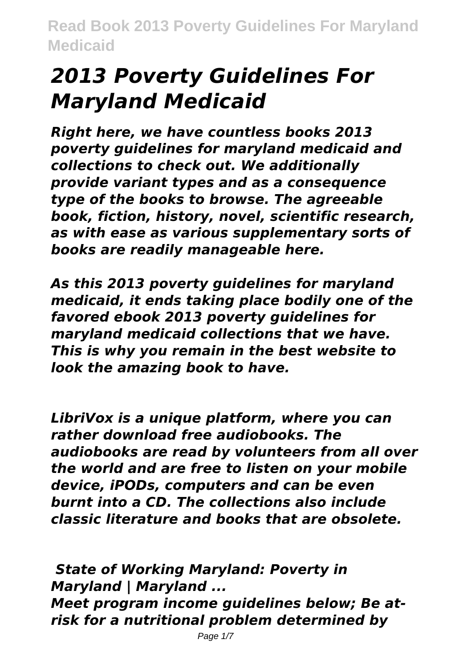# *2013 Poverty Guidelines For Maryland Medicaid*

*Right here, we have countless books 2013 poverty guidelines for maryland medicaid and collections to check out. We additionally provide variant types and as a consequence type of the books to browse. The agreeable book, fiction, history, novel, scientific research, as with ease as various supplementary sorts of books are readily manageable here.*

*As this 2013 poverty guidelines for maryland medicaid, it ends taking place bodily one of the favored ebook 2013 poverty guidelines for maryland medicaid collections that we have. This is why you remain in the best website to look the amazing book to have.*

*LibriVox is a unique platform, where you can rather download free audiobooks. The audiobooks are read by volunteers from all over the world and are free to listen on your mobile device, iPODs, computers and can be even burnt into a CD. The collections also include classic literature and books that are obsolete.*

*State of Working Maryland: Poverty in Maryland | Maryland ... Meet program income guidelines below; Be atrisk for a nutritional problem determined by*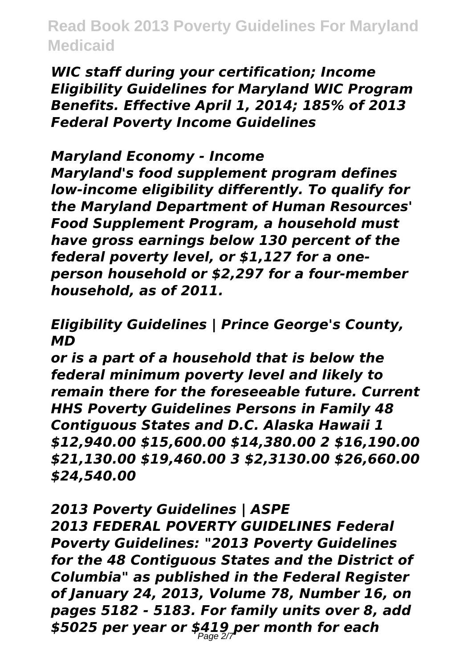*WIC staff during your certification; Income Eligibility Guidelines for Maryland WIC Program Benefits. Effective April 1, 2014; 185% of 2013 Federal Poverty Income Guidelines*

#### *Maryland Economy - Income*

*Maryland's food supplement program defines low-income eligibility differently. To qualify for the Maryland Department of Human Resources' Food Supplement Program, a household must have gross earnings below 130 percent of the federal poverty level, or \$1,127 for a oneperson household or \$2,297 for a four-member household, as of 2011.*

## *Eligibility Guidelines | Prince George's County, MD*

*or is a part of a household that is below the federal minimum poverty level and likely to remain there for the foreseeable future. Current HHS Poverty Guidelines Persons in Family 48 Contiguous States and D.C. Alaska Hawaii 1 \$12,940.00 \$15,600.00 \$14,380.00 2 \$16,190.00 \$21,130.00 \$19,460.00 3 \$2,3130.00 \$26,660.00 \$24,540.00*

## *2013 Poverty Guidelines | ASPE*

*2013 FEDERAL POVERTY GUIDELINES Federal Poverty Guidelines: "2013 Poverty Guidelines for the 48 Contiguous States and the District of Columbia" as published in the Federal Register of January 24, 2013, Volume 78, Number 16, on pages 5182 - 5183. For family units over 8, add \$5025 per year or \$419 per month for each* Page 2/7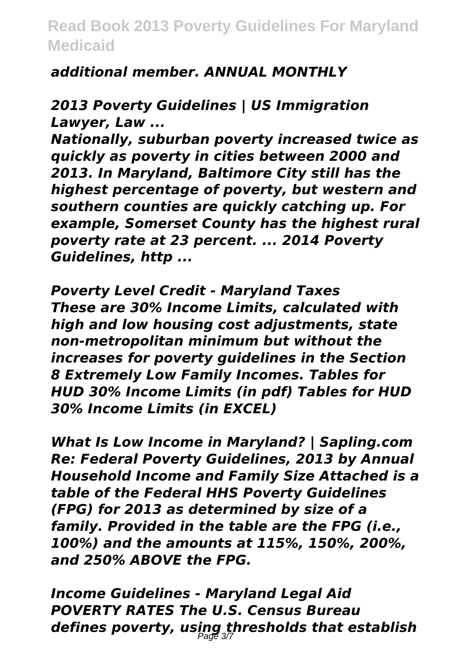## *additional member. ANNUAL MONTHLY*

*2013 Poverty Guidelines | US Immigration Lawyer, Law ...*

*Nationally, suburban poverty increased twice as quickly as poverty in cities between 2000 and 2013. In Maryland, Baltimore City still has the highest percentage of poverty, but western and southern counties are quickly catching up. For example, Somerset County has the highest rural poverty rate at 23 percent. ... 2014 Poverty Guidelines, http ...*

*Poverty Level Credit - Maryland Taxes These are 30% Income Limits, calculated with high and low housing cost adjustments, state non-metropolitan minimum but without the increases for poverty guidelines in the Section 8 Extremely Low Family Incomes. Tables for HUD 30% Income Limits (in pdf) Tables for HUD 30% Income Limits (in EXCEL)*

*What Is Low Income in Maryland? | Sapling.com Re: Federal Poverty Guidelines, 2013 by Annual Household Income and Family Size Attached is a table of the Federal HHS Poverty Guidelines (FPG) for 2013 as determined by size of a family. Provided in the table are the FPG (i.e., 100%) and the amounts at 115%, 150%, 200%, and 250% ABOVE the FPG.*

*Income Guidelines - Maryland Legal Aid POVERTY RATES The U.S. Census Bureau defines poverty, using thresholds that establish* Page 3/7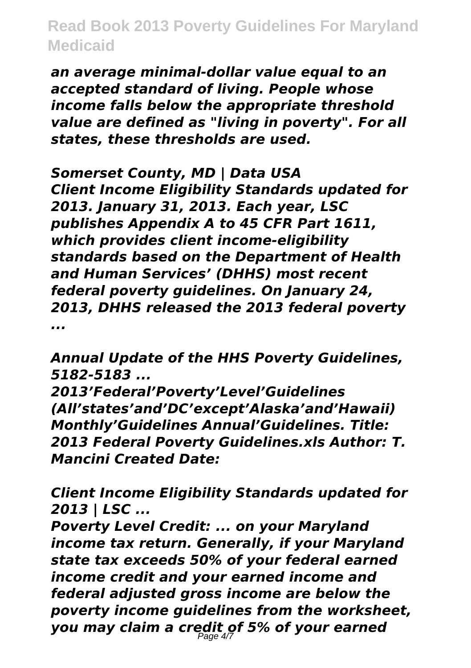*an average minimal-dollar value equal to an accepted standard of living. People whose income falls below the appropriate threshold value are defined as "living in poverty". For all states, these thresholds are used.*

*Somerset County, MD | Data USA Client Income Eligibility Standards updated for 2013. January 31, 2013. Each year, LSC publishes Appendix A to 45 CFR Part 1611, which provides client income-eligibility standards based on the Department of Health and Human Services' (DHHS) most recent federal poverty guidelines. On January 24, 2013, DHHS released the 2013 federal poverty ...*

*Annual Update of the HHS Poverty Guidelines, 5182-5183 ...*

*2013'Federal'Poverty'Level'Guidelines (All'states'and'DC'except'Alaska'and'Hawaii) Monthly'Guidelines Annual'Guidelines. Title: 2013 Federal Poverty Guidelines.xls Author: T. Mancini Created Date:*

*Client Income Eligibility Standards updated for 2013 | LSC ...*

*Poverty Level Credit: ... on your Maryland income tax return. Generally, if your Maryland state tax exceeds 50% of your federal earned income credit and your earned income and federal adjusted gross income are below the poverty income guidelines from the worksheet, you may claim a credit of 5% of your earned*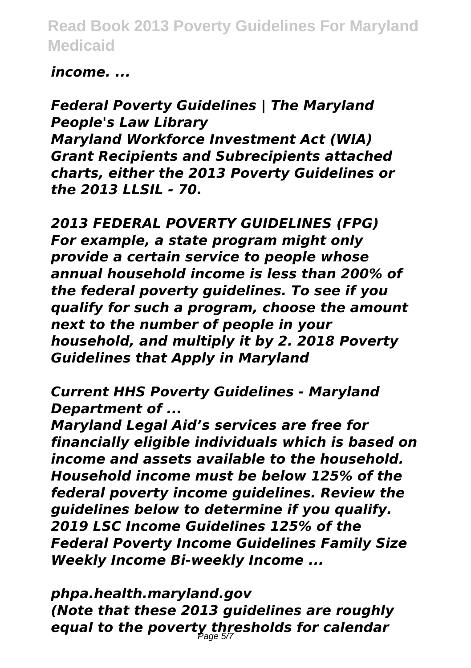## *income. ...*

*Federal Poverty Guidelines | The Maryland People's Law Library Maryland Workforce Investment Act (WIA) Grant Recipients and Subrecipients attached charts, either the 2013 Poverty Guidelines or the 2013 LLSIL - 70.*

*2013 FEDERAL POVERTY GUIDELINES (FPG) For example, a state program might only provide a certain service to people whose annual household income is less than 200% of the federal poverty guidelines. To see if you qualify for such a program, choose the amount next to the number of people in your household, and multiply it by 2. 2018 Poverty Guidelines that Apply in Maryland*

*Current HHS Poverty Guidelines - Maryland Department of ...*

*Maryland Legal Aid's services are free for financially eligible individuals which is based on income and assets available to the household. Household income must be below 125% of the federal poverty income guidelines. Review the guidelines below to determine if you qualify. 2019 LSC Income Guidelines 125% of the Federal Poverty Income Guidelines Family Size Weekly Income Bi-weekly Income ...*

*phpa.health.maryland.gov (Note that these 2013 guidelines are roughly equal to the poverty thresholds for calendar* Page 5/7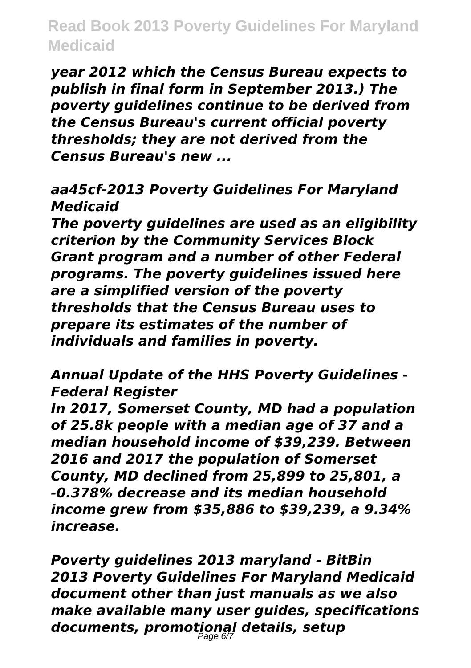*year 2012 which the Census Bureau expects to publish in final form in September 2013.) The poverty guidelines continue to be derived from the Census Bureau's current official poverty thresholds; they are not derived from the Census Bureau's new ...*

## *aa45cf-2013 Poverty Guidelines For Maryland Medicaid*

*The poverty guidelines are used as an eligibility criterion by the Community Services Block Grant program and a number of other Federal programs. The poverty guidelines issued here are a simplified version of the poverty thresholds that the Census Bureau uses to prepare its estimates of the number of individuals and families in poverty.*

*Annual Update of the HHS Poverty Guidelines - Federal Register*

*In 2017, Somerset County, MD had a population of 25.8k people with a median age of 37 and a median household income of \$39,239. Between 2016 and 2017 the population of Somerset County, MD declined from 25,899 to 25,801, a -0.378% decrease and its median household income grew from \$35,886 to \$39,239, a 9.34% increase.*

*Poverty guidelines 2013 maryland - BitBin 2013 Poverty Guidelines For Maryland Medicaid document other than just manuals as we also make available many user guides, specifications documents, promotional details, setup* Page 6/7